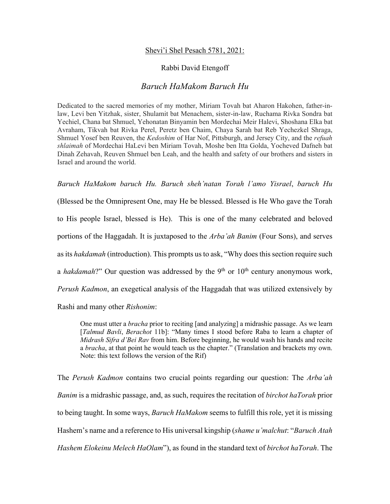## Shevi'i Shel Pesach 5781, 2021:

## Rabbi David Etengoff

## *Baruch HaMakom Baruch Hu*

Dedicated to the sacred memories of my mother, Miriam Tovah bat Aharon Hakohen, father-inlaw, Levi ben Yitzhak, sister, Shulamit bat Menachem, sister-in-law, Ruchama Rivka Sondra bat Yechiel, Chana bat Shmuel, Yehonatan Binyamin ben Mordechai Meir Halevi, Shoshana Elka bat Avraham, Tikvah bat Rivka Perel, Peretz ben Chaim, Chaya Sarah bat Reb Yechezkel Shraga, Shmuel Yosef ben Reuven, the *Kedoshim* of Har Nof, Pittsburgh, and Jersey City, and the *refuah shlaimah* of Mordechai HaLevi ben Miriam Tovah, Moshe ben Itta Golda, Yocheved Dafneh bat Dinah Zehavah, Reuven Shmuel ben Leah, and the health and safety of our brothers and sisters in Israel and around the world.

*Baruch HaMakom baruch Hu. Baruch sheh'natan Torah l'amo Yisrael*, *baruch Hu* 

(Blessed be the Omnipresent One, may He be blessed. Blessed is He Who gave the Torah to His people Israel, blessed is He). This is one of the many celebrated and beloved portions of the Haggadah. It is juxtaposed to the *Arba'ah Banim* (Four Sons), and serves as its *hakdamah* (introduction). This prompts us to ask, "Why does this section require such a *hakdamah*?" Our question was addressed by the 9<sup>th</sup> or  $10<sup>th</sup>$  century anonymous work, *Perush Kadmon*, an exegetical analysis of the Haggadah that was utilized extensively by Rashi and many other *Rishonim*:

One must utter a *bracha* prior to reciting [and analyzing] a midrashic passage. As we learn [*Talmud Bavli*, *Berachot* 11b]: "Many times I stood before Raba to learn a chapter of *Midrash Sifra d'Bei Rav* from him. Before beginning, he would wash his hands and recite a *bracha*, at that point he would teach us the chapter." (Translation and brackets my own. Note: this text follows the version of the Rif)

The *Perush Kadmon* contains two crucial points regarding our question: The *Arba'ah Banim* is a midrashic passage, and, as such, requires the recitation of *birchot haTorah* prior to being taught. In some ways, *Baruch HaMakom* seems to fulfill this role, yet it is missing Hashem's name and a reference to His universal kingship (*shame u'malchut*: "*Baruch Atah Hashem Elokeinu Melech HaOlam*"), as found in the standard text of *birchot haTorah*. The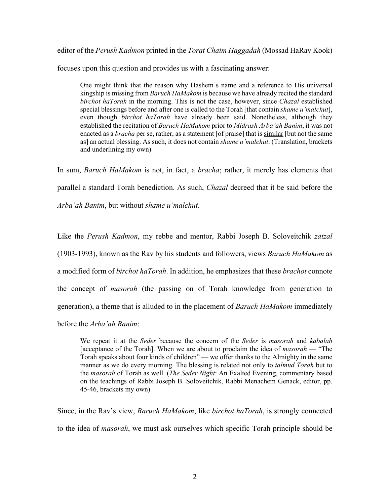editor of the *Perush Kadmon* printed in the *Torat Chaim Haggadah* (Mossad HaRav Kook)

focuses upon this question and provides us with a fascinating answer:

One might think that the reason why Hashem's name and a reference to His universal kingship is missing from *Baruch HaMakom* is because we have already recited the standard *birchot haTorah* in the morning. This is not the case, however, since *Chazal* established special blessings before and after one is called to the Torah [that contain *shame u'malchut*], even though *birchot haTorah* have already been said. Nonetheless, although they established the recitation of *Baruch HaMakom* prior to *Midrash Arba'ah Banim*, it was not enacted as a *bracha* per se, rather, as a statement [of praise] that is similar [but not the same as] an actual blessing. As such, it does not contain *shame u'malchut*. (Translation, brackets and underlining my own)

In sum, *Baruch HaMakom* is not, in fact, a *bracha*; rather, it merely has elements that parallel a standard Torah benediction. As such, *Chazal* decreed that it be said before the *Arba'ah Banim*, but without *shame u'malchut*.

Like the *Perush Kadmon*, my rebbe and mentor, Rabbi Joseph B. Soloveitchik *zatzal*  (1903-1993), known as the Rav by his students and followers, views *Baruch HaMakom* as a modified form of *birchot haTorah*. In addition, he emphasizes that these *brachot* connote the concept of *masorah* (the passing on of Torah knowledge from generation to generation), a theme that is alluded to in the placement of *Baruch HaMakom* immediately before the *Arba'ah Banim*:

We repeat it at the *Seder* because the concern of the *Seder* is *masorah* and *kabalah*  [acceptance of the Torah]. When we are about to proclaim the idea of *masorah* — "The Torah speaks about four kinds of children" — we offer thanks to the Almighty in the same manner as we do every morning. The blessing is related not only to *talmud Torah* but to the *masorah* of Torah as well. (*The Seder Night*: An Exalted Evening, commentary based on the teachings of Rabbi Joseph B. Soloveitchik, Rabbi Menachem Genack, editor, pp. 45-46, brackets my own)

Since, in the Rav's view, *Baruch HaMakom*, like *birchot haTorah*, is strongly connected to the idea of *masorah*, we must ask ourselves which specific Torah principle should be